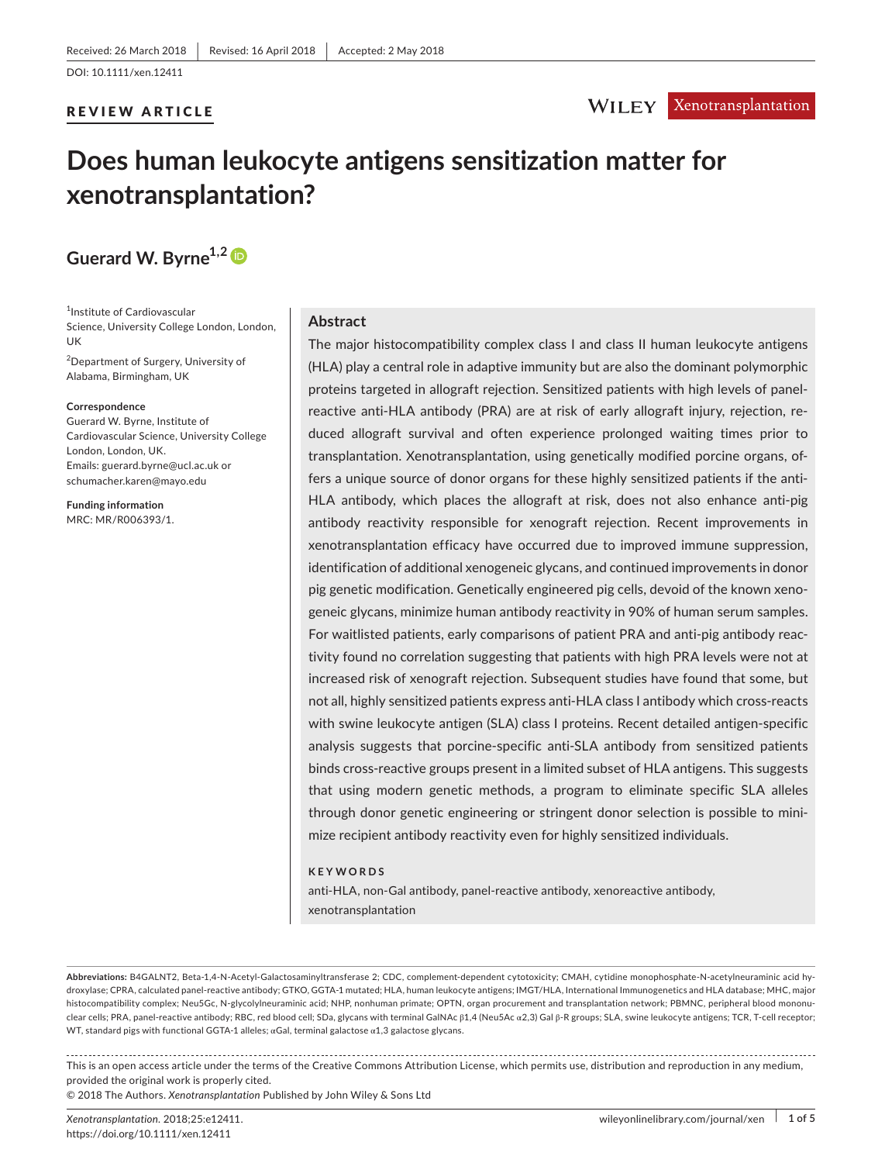## REVIEW ARTICLE

# **Does human leukocyte antigens sensitization matter for xenotransplantation?**

# Guerard W. Byrne<sup>1,[2](http://orcid.org/0000-0003-1897-1289)</sup>

1 Institute of Cardiovascular Science, University College London, London, UK

2 Department of Surgery, University of Alabama, Birmingham, UK

#### **Correspondence**

Guerard W. Byrne, Institute of Cardiovascular Science, University College London, London, UK. Emails: [guerard.byrne@ucl.ac.uk](mailto:guerard.byrne@ucl.ac.uk) or [schumacher.karen@mayo.edu](mailto:schumacher.karen@mayo.edu)

**Funding information** MRC: MR/R006393/1.

## **Abstract**

The major histocompatibility complex class I and class II human leukocyte antigens (HLA) play a central role in adaptive immunity but are also the dominant polymorphic proteins targeted in allograft rejection. Sensitized patients with high levels of panelreactive anti-HLA antibody (PRA) are at risk of early allograft injury, rejection, reduced allograft survival and often experience prolonged waiting times prior to transplantation. Xenotransplantation, using genetically modified porcine organs, offers a unique source of donor organs for these highly sensitized patients if the anti-HLA antibody, which places the allograft at risk, does not also enhance anti-pig antibody reactivity responsible for xenograft rejection. Recent improvements in xenotransplantation efficacy have occurred due to improved immune suppression, identification of additional xenogeneic glycans, and continued improvements in donor pig genetic modification. Genetically engineered pig cells, devoid of the known xenogeneic glycans, minimize human antibody reactivity in 90% of human serum samples. For waitlisted patients, early comparisons of patient PRA and anti-pig antibody reactivity found no correlation suggesting that patients with high PRA levels were not at increased risk of xenograft rejection. Subsequent studies have found that some, but not all, highly sensitized patients express anti-HLA class I antibody which cross-reacts with swine leukocyte antigen (SLA) class I proteins. Recent detailed antigen-specific analysis suggests that porcine-specific anti-SLA antibody from sensitized patients binds cross-reactive groups present in a limited subset of HLA antigens. This suggests that using modern genetic methods, a program to eliminate specific SLA alleles through donor genetic engineering or stringent donor selection is possible to minimize recipient antibody reactivity even for highly sensitized individuals.

#### **KEYWORDS**

anti-HLA, non-Gal antibody, panel-reactive antibody, xenoreactive antibody, xenotransplantation

**Abbreviations:** B4GALNT2, Beta-1,4-N-Acetyl-Galactosaminyltransferase 2; CDC, complement-dependent cytotoxicity; CMAH, cytidine monophosphate-N-acetylneuraminic acid hydroxylase; CPRA, calculated panel-reactive antibody; GTKO, GGTA-1 mutated; HLA, human leukocyte antigens; IMGT/HLA, International Immunogenetics and HLA database; MHC, major histocompatibility complex; Neu5Gc, N-glycolylneuraminic acid; NHP, nonhuman primate; OPTN, organ procurement and transplantation network; PBMNC, peripheral blood mononuclear cells; PRA, panel-reactive antibody; RBC, red blood cell; SDa, glycans with terminal GalNAc β1,4 (Neu5Ac α2,3) Gal β-R groups; SLA, swine leukocyte antigens; TCR, T-cell receptor; WT, standard pigs with functional GGTA-1 alleles;  $\alpha$ Gal, terminal galactose  $\alpha$ 1,3 galactose glycans.

This is an open access article under the terms of the Creative Commons [Attribution](http://creativecommons.org/licenses/by/4.0/) License, which permits use, distribution and reproduction in any medium, provided the original work is properly cited.

© 2018 The Authors. *Xenotransplantation* Published by John Wiley & Sons Ltd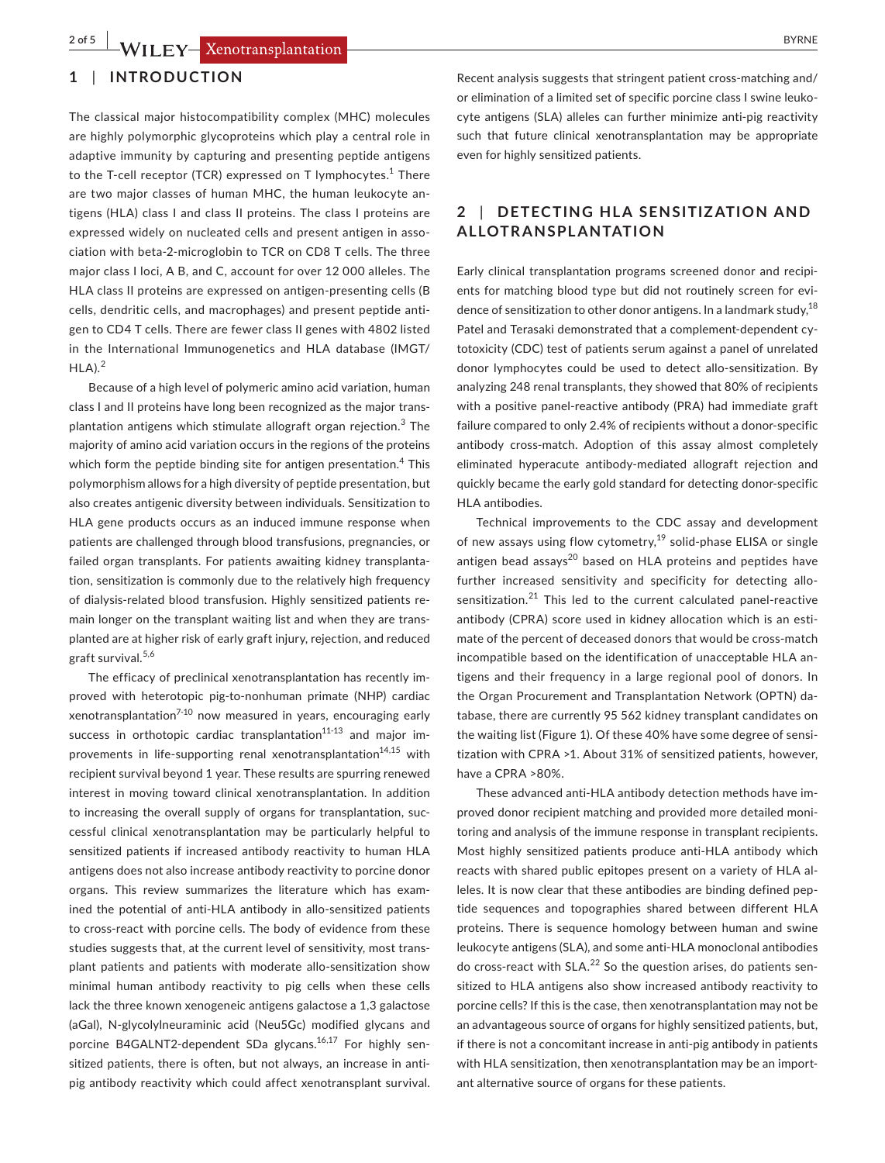# 2 of 5 **WILEY** Xenotransplantation **EXECUTER 2008** BYRNE

# **1** | **INTRODUCTION**

The classical major histocompatibility complex (MHC) molecules are highly polymorphic glycoproteins which play a central role in adaptive immunity by capturing and presenting peptide antigens to the T-cell receptor (TCR) expressed on T lymphocytes.<sup>1</sup> There are two major classes of human MHC, the human leukocyte antigens (HLA) class I and class II proteins. The class I proteins are expressed widely on nucleated cells and present antigen in association with beta-2-microglobin to TCR on CD8 T cells. The three major class I loci, A B, and C, account for over 12 000 alleles. The HLA class II proteins are expressed on antigen-presenting cells (B cells, dendritic cells, and macrophages) and present peptide antigen to CD4 T cells. There are fewer class II genes with 4802 listed in the International Immunogenetics and HLA database (IMGT/  $HLA$ ).<sup>2</sup>

Because of a high level of polymeric amino acid variation, human class I and II proteins have long been recognized as the major transplantation antigens which stimulate allograft organ rejection.<sup>3</sup> The majority of amino acid variation occurs in the regions of the proteins which form the peptide binding site for antigen presentation.<sup>4</sup> This polymorphism allows for a high diversity of peptide presentation, but also creates antigenic diversity between individuals. Sensitization to HLA gene products occurs as an induced immune response when patients are challenged through blood transfusions, pregnancies, or failed organ transplants. For patients awaiting kidney transplantation, sensitization is commonly due to the relatively high frequency of dialysis-related blood transfusion. Highly sensitized patients remain longer on the transplant waiting list and when they are transplanted are at higher risk of early graft injury, rejection, and reduced graft survival.5,6

The efficacy of preclinical xenotransplantation has recently improved with heterotopic pig-to-nonhuman primate (NHP) cardiac xenotransplantation $7-10$  now measured in years, encouraging early success in orthotopic cardiac transplantation $11-13$  and major improvements in life-supporting renal xenotransplantation $14,15$  with recipient survival beyond 1 year. These results are spurring renewed interest in moving toward clinical xenotransplantation. In addition to increasing the overall supply of organs for transplantation, successful clinical xenotransplantation may be particularly helpful to sensitized patients if increased antibody reactivity to human HLA antigens does not also increase antibody reactivity to porcine donor organs. This review summarizes the literature which has examined the potential of anti-HLA antibody in allo-sensitized patients to cross-react with porcine cells. The body of evidence from these studies suggests that, at the current level of sensitivity, most transplant patients and patients with moderate allo-sensitization show minimal human antibody reactivity to pig cells when these cells lack the three known xenogeneic antigens galactose a 1,3 galactose (aGal), N-glycolylneuraminic acid (Neu5Gc) modified glycans and porcine B4GALNT2-dependent SDa glycans.<sup>16,17</sup> For highly sensitized patients, there is often, but not always, an increase in antipig antibody reactivity which could affect xenotransplant survival.

Recent analysis suggests that stringent patient cross-matching and/ or elimination of a limited set of specific porcine class I swine leukocyte antigens (SLA) alleles can further minimize anti-pig reactivity such that future clinical xenotransplantation may be appropriate even for highly sensitized patients.

# **2 | DETECTING HLA SENSITIZATION AND ALLOTRANSPLANTATION**

Early clinical transplantation programs screened donor and recipients for matching blood type but did not routinely screen for evidence of sensitization to other donor antigens. In a landmark study,  $18$ Patel and Terasaki demonstrated that a complement-dependent cytotoxicity (CDC) test of patients serum against a panel of unrelated donor lymphocytes could be used to detect allo-sensitization. By analyzing 248 renal transplants, they showed that 80% of recipients with a positive panel-reactive antibody (PRA) had immediate graft failure compared to only 2.4% of recipients without a donor-specific antibody cross-match. Adoption of this assay almost completely eliminated hyperacute antibody-mediated allograft rejection and quickly became the early gold standard for detecting donor-specific HLA antibodies.

Technical improvements to the CDC assay and development of new assays using flow cytometry,<sup>19</sup> solid-phase ELISA or single antigen bead assays<sup>20</sup> based on HLA proteins and peptides have further increased sensitivity and specificity for detecting allosensitization.<sup>21</sup> This led to the current calculated panel-reactive antibody (CPRA) score used in kidney allocation which is an estimate of the percent of deceased donors that would be cross-match incompatible based on the identification of unacceptable HLA antigens and their frequency in a large regional pool of donors. In the Organ Procurement and Transplantation Network (OPTN) database, there are currently 95 562 kidney transplant candidates on the waiting list (Figure 1). Of these 40% have some degree of sensitization with CPRA >1. About 31% of sensitized patients, however, have a CPRA >80%.

These advanced anti-HLA antibody detection methods have improved donor recipient matching and provided more detailed monitoring and analysis of the immune response in transplant recipients. Most highly sensitized patients produce anti-HLA antibody which reacts with shared public epitopes present on a variety of HLA alleles. It is now clear that these antibodies are binding defined peptide sequences and topographies shared between different HLA proteins. There is sequence homology between human and swine leukocyte antigens (SLA), and some anti-HLA monoclonal antibodies do cross-react with SLA.<sup>22</sup> So the question arises, do patients sensitized to HLA antigens also show increased antibody reactivity to porcine cells? If this is the case, then xenotransplantation may not be an advantageous source of organs for highly sensitized patients, but, if there is not a concomitant increase in anti-pig antibody in patients with HLA sensitization, then xenotransplantation may be an important alternative source of organs for these patients.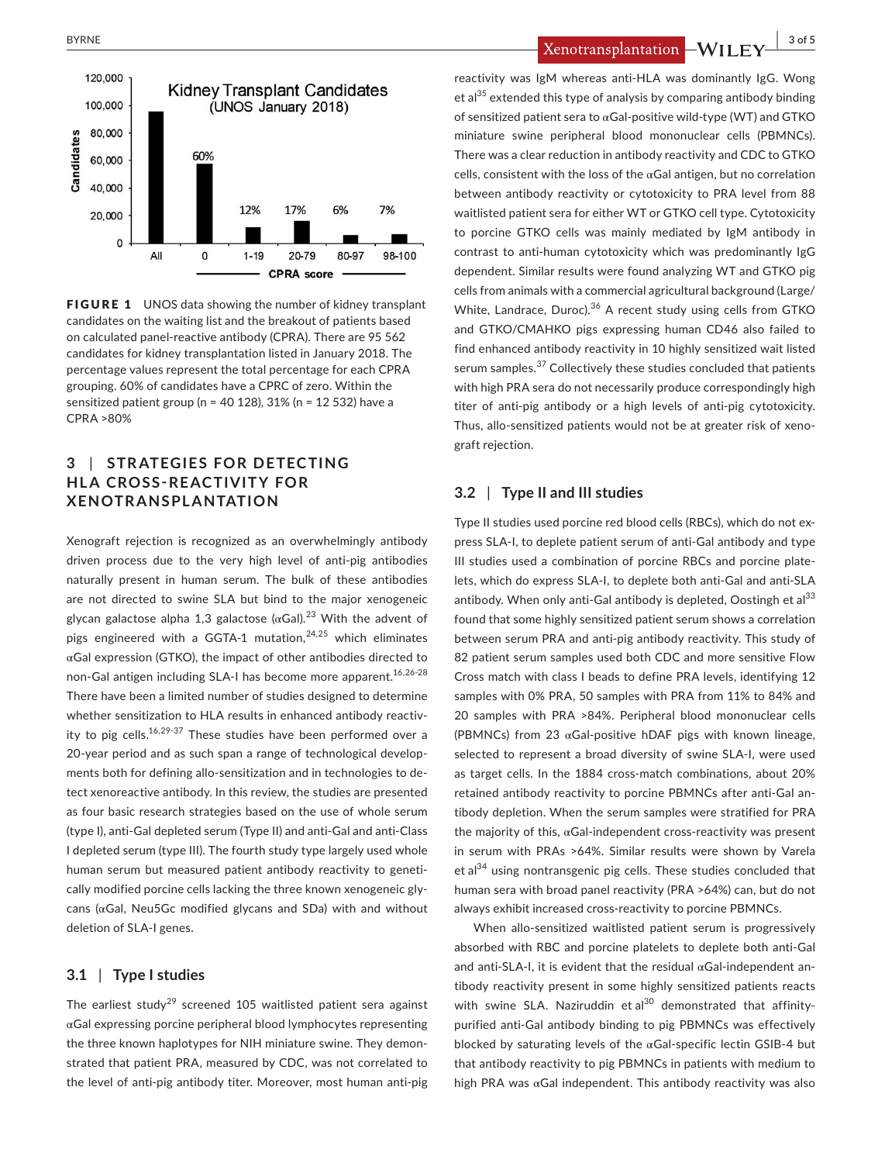

FIGURE 1 UNOS data showing the number of kidney transplant candidates on the waiting list and the breakout of patients based on calculated panel-reactive antibody (CPRA). There are 95 562 candidates for kidney transplantation listed in January 2018. The percentage values represent the total percentage for each CPRA grouping. 60% of candidates have a CPRC of zero. Within the sensitized patient group (n = 40 128), 31% (n = 12 532) have a CPRA >80%

# **3** | **STR ATEGIES FOR DETEC TING HLA CROSS-REACTIVITY FOR XENOTRANSPLANTATION**

Xenograft rejection is recognized as an overwhelmingly antibody driven process due to the very high level of anti-pig antibodies naturally present in human serum. The bulk of these antibodies are not directed to swine SLA but bind to the major xenogeneic glycan galactose alpha 1,3 galactose ( $\alpha$ Gal).<sup>23</sup> With the advent of pigs engineered with a GGTA-1 mutation, $24,25$  which eliminates αGal expression (GTKO), the impact of other antibodies directed to non-Gal antigen including SLA-I has become more apparent.<sup>16,26-28</sup> There have been a limited number of studies designed to determine whether sensitization to HLA results in enhanced antibody reactivity to pig cells.<sup>16,29-37</sup> These studies have been performed over a 20-year period and as such span a range of technological developments both for defining allo-sensitization and in technologies to detect xenoreactive antibody. In this review, the studies are presented as four basic research strategies based on the use of whole serum (type I), anti-Gal depleted serum (Type II) and anti-Gal and anti-Class I depleted serum (type III). The fourth study type largely used whole human serum but measured patient antibody reactivity to genetically modified porcine cells lacking the three known xenogeneic glycans (αGal, Neu5Gc modified glycans and SDa) with and without deletion of SLA-I genes.

### **3.1** | **Type I studies**

The earliest study<sup>29</sup> screened 105 waitlisted patient sera against αGal expressing porcine peripheral blood lymphocytes representing the three known haplotypes for NIH miniature swine. They demonstrated that patient PRA, measured by CDC, was not correlated to the level of anti-pig antibody titer. Moreover, most human anti-pig

 **EXERNE 1 1 1 EXERNE 1 1 1 EXERCITELY EXERCITELY EXERCITELY EXERCITELY EXERCITELY EXERCITELY EXERCITELY EXERCITELY EXERCITELY EXERCITELY EXERCITELY EXERCITELY EXERCITELY EXERCITEL** 

reactivity was IgM whereas anti-HLA was dominantly IgG. Wong et al $^{35}$  extended this type of analysis by comparing antibody binding of sensitized patient sera to αGal-positive wild-type (WT) and GTKO miniature swine peripheral blood mononuclear cells (PBMNCs). There was a clear reduction in antibody reactivity and CDC to GTKO cells, consistent with the loss of the  $\alpha$ Gal antigen, but no correlation between antibody reactivity or cytotoxicity to PRA level from 88 waitlisted patient sera for either WT or GTKO cell type. Cytotoxicity to porcine GTKO cells was mainly mediated by IgM antibody in contrast to anti-human cytotoxicity which was predominantly IgG dependent. Similar results were found analyzing WT and GTKO pig cells from animals with a commercial agricultural background (Large/ White, Landrace, Duroc).<sup>36</sup> A recent study using cells from GTKO and GTKO/CMAHKO pigs expressing human CD46 also failed to find enhanced antibody reactivity in 10 highly sensitized wait listed serum samples.<sup>37</sup> Collectively these studies concluded that patients with high PRA sera do not necessarily produce correspondingly high titer of anti-pig antibody or a high levels of anti-pig cytotoxicity. Thus, allo-sensitized patients would not be at greater risk of xenograft rejection.

# **3.2** | **Type II and III studies**

Type II studies used porcine red blood cells (RBCs), which do not express SLA-I, to deplete patient serum of anti-Gal antibody and type III studies used a combination of porcine RBCs and porcine platelets, which do express SLA-I, to deplete both anti-Gal and anti-SLA antibody. When only anti-Gal antibody is depleted, Oostingh et al<sup>33</sup> found that some highly sensitized patient serum shows a correlation between serum PRA and anti-pig antibody reactivity. This study of 82 patient serum samples used both CDC and more sensitive Flow Cross match with class I beads to define PRA levels, identifying 12 samples with 0% PRA, 50 samples with PRA from 11% to 84% and 20 samples with PRA >84%. Peripheral blood mononuclear cells (PBMNCs) from 23  $\alpha$ Gal-positive hDAF pigs with known lineage, selected to represent a broad diversity of swine SLA-I, were used as target cells. In the 1884 cross-match combinations, about 20% retained antibody reactivity to porcine PBMNCs after anti-Gal antibody depletion. When the serum samples were stratified for PRA the majority of this, αGal-independent cross-reactivity was present in serum with PRAs >64%. Similar results were shown by Varela et al $^{34}$  using nontransgenic pig cells. These studies concluded that human sera with broad panel reactivity (PRA >64%) can, but do not always exhibit increased cross-reactivity to porcine PBMNCs.

When allo-sensitized waitlisted patient serum is progressively absorbed with RBC and porcine platelets to deplete both anti-Gal and anti-SLA-I, it is evident that the residual  $\alpha$ Gal-independent antibody reactivity present in some highly sensitized patients reacts with swine SLA. Naziruddin et al<sup>30</sup> demonstrated that affinitypurified anti-Gal antibody binding to pig PBMNCs was effectively blocked by saturating levels of the  $\alpha$ Gal-specific lectin GSIB-4 but that antibody reactivity to pig PBMNCs in patients with medium to high PRA was αGal independent. This antibody reactivity was also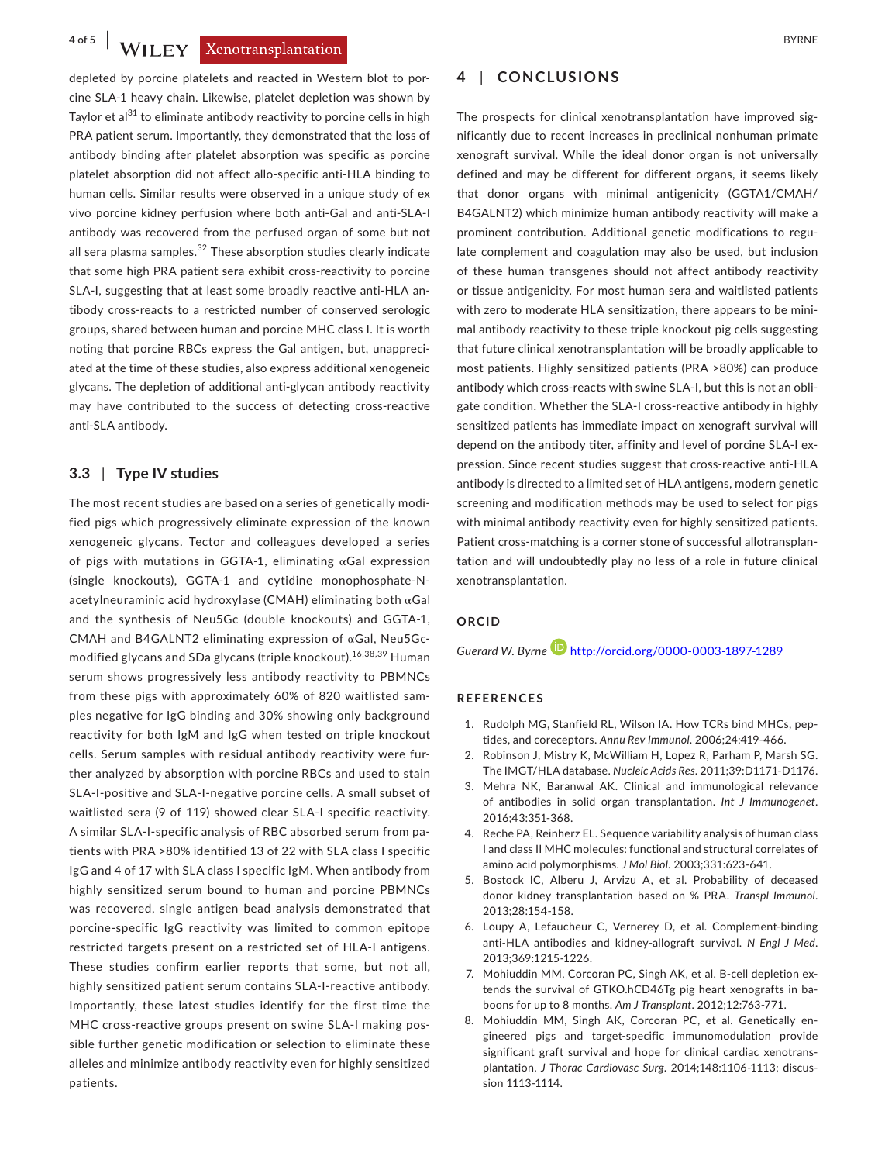**4** of 5 **1 WILEY Renotransplantation** 

depleted by porcine platelets and reacted in Western blot to porcine SLA-1 heavy chain. Likewise, platelet depletion was shown by Taylor et al $^{31}$  to eliminate antibody reactivity to porcine cells in high PRA patient serum. Importantly, they demonstrated that the loss of antibody binding after platelet absorption was specific as porcine platelet absorption did not affect allo-specific anti-HLA binding to human cells. Similar results were observed in a unique study of ex vivo porcine kidney perfusion where both anti-Gal and anti-SLA-I antibody was recovered from the perfused organ of some but not all sera plasma samples.<sup>32</sup> These absorption studies clearly indicate that some high PRA patient sera exhibit cross-reactivity to porcine SLA-I, suggesting that at least some broadly reactive anti-HLA antibody cross-reacts to a restricted number of conserved serologic groups, shared between human and porcine MHC class I. It is worth noting that porcine RBCs express the Gal antigen, but, unappreciated at the time of these studies, also express additional xenogeneic glycans. The depletion of additional anti-glycan antibody reactivity may have contributed to the success of detecting cross-reactive anti-SLA antibody.

### **3.3** | **Type IV studies**

The most recent studies are based on a series of genetically modified pigs which progressively eliminate expression of the known xenogeneic glycans. Tector and colleagues developed a series of pigs with mutations in GGTA-1, eliminating  $\alpha$ Gal expression (single knockouts), GGTA-1 and cytidine monophosphate-Nacetylneuraminic acid hydroxylase (CMAH) eliminating both αGal and the synthesis of Neu5Gc (double knockouts) and GGTA-1, CMAH and B4GALNT2 eliminating expression of αGal, Neu5Gcmodified glycans and SDa glycans (triple knockout).16,38,39 Human serum shows progressively less antibody reactivity to PBMNCs from these pigs with approximately 60% of 820 waitlisted samples negative for IgG binding and 30% showing only background reactivity for both IgM and IgG when tested on triple knockout cells. Serum samples with residual antibody reactivity were further analyzed by absorption with porcine RBCs and used to stain SLA-I-positive and SLA-I-negative porcine cells. A small subset of waitlisted sera (9 of 119) showed clear SLA-I specific reactivity. A similar SLA-I-specific analysis of RBC absorbed serum from patients with PRA >80% identified 13 of 22 with SLA class I specific IgG and 4 of 17 with SLA class I specific IgM. When antibody from highly sensitized serum bound to human and porcine PBMNCs was recovered, single antigen bead analysis demonstrated that porcine-specific IgG reactivity was limited to common epitope restricted targets present on a restricted set of HLA-I antigens. These studies confirm earlier reports that some, but not all, highly sensitized patient serum contains SLA-I-reactive antibody. Importantly, these latest studies identify for the first time the MHC cross-reactive groups present on swine SLA-I making possible further genetic modification or selection to eliminate these alleles and minimize antibody reactivity even for highly sensitized patients.

### **4** | **CONCLUSIONS**

The prospects for clinical xenotransplantation have improved significantly due to recent increases in preclinical nonhuman primate xenograft survival. While the ideal donor organ is not universally defined and may be different for different organs, it seems likely that donor organs with minimal antigenicity (GGTA1/CMAH/ B4GALNT2) which minimize human antibody reactivity will make a prominent contribution. Additional genetic modifications to regulate complement and coagulation may also be used, but inclusion of these human transgenes should not affect antibody reactivity or tissue antigenicity. For most human sera and waitlisted patients with zero to moderate HLA sensitization, there appears to be minimal antibody reactivity to these triple knockout pig cells suggesting that future clinical xenotransplantation will be broadly applicable to most patients. Highly sensitized patients (PRA >80%) can produce antibody which cross-reacts with swine SLA-I, but this is not an obligate condition. Whether the SLA-I cross-reactive antibody in highly sensitized patients has immediate impact on xenograft survival will depend on the antibody titer, affinity and level of porcine SLA-I expression. Since recent studies suggest that cross-reactive anti-HLA antibody is directed to a limited set of HLA antigens, modern genetic screening and modification methods may be used to select for pigs with minimal antibody reactivity even for highly sensitized patients. Patient cross-matching is a corner stone of successful allotransplantation and will undoubtedly play no less of a role in future clinical xenotransplantation.

# **ORCID**

*Guerard W. Byrn[e](http://orcid.org/0000-0003-1897-1289)* <http://orcid.org/0000-0003-1897-1289>

#### **REFERENCES**

- 1. Rudolph MG, Stanfield RL, Wilson IA. How TCRs bind MHCs, peptides, and coreceptors. *Annu Rev Immunol*. 2006;24:419‐466.
- 2. Robinson J, Mistry K, McWilliam H, Lopez R, Parham P, Marsh SG. The IMGT/HLA database. *Nucleic Acids Res*. 2011;39:D1171‐D1176.
- 3. Mehra NK, Baranwal AK. Clinical and immunological relevance of antibodies in solid organ transplantation. *Int J Immunogenet*. 2016;43:351‐368.
- 4. Reche PA, Reinherz EL. Sequence variability analysis of human class I and class II MHC molecules: functional and structural correlates of amino acid polymorphisms. *J Mol Biol*. 2003;331:623‐641.
- 5. Bostock IC, Alberu J, Arvizu A, et al. Probability of deceased donor kidney transplantation based on % PRA. *Transpl Immunol*. 2013;28:154‐158.
- 6. Loupy A, Lefaucheur C, Vernerey D, et al. Complement-binding anti-HLA antibodies and kidney-allograft survival. *N Engl J Med*. 2013;369:1215‐1226.
- 7. Mohiuddin MM, Corcoran PC, Singh AK, et al. B-cell depletion extends the survival of GTKO.hCD46Tg pig heart xenografts in baboons for up to 8 months. *Am J Transplant*. 2012;12:763‐771.
- 8. Mohiuddin MM, Singh AK, Corcoran PC, et al. Genetically engineered pigs and target-specific immunomodulation provide significant graft survival and hope for clinical cardiac xenotransplantation. *J Thorac Cardiovasc Surg*. 2014;148:1106‐1113; discussion 1113-1114.